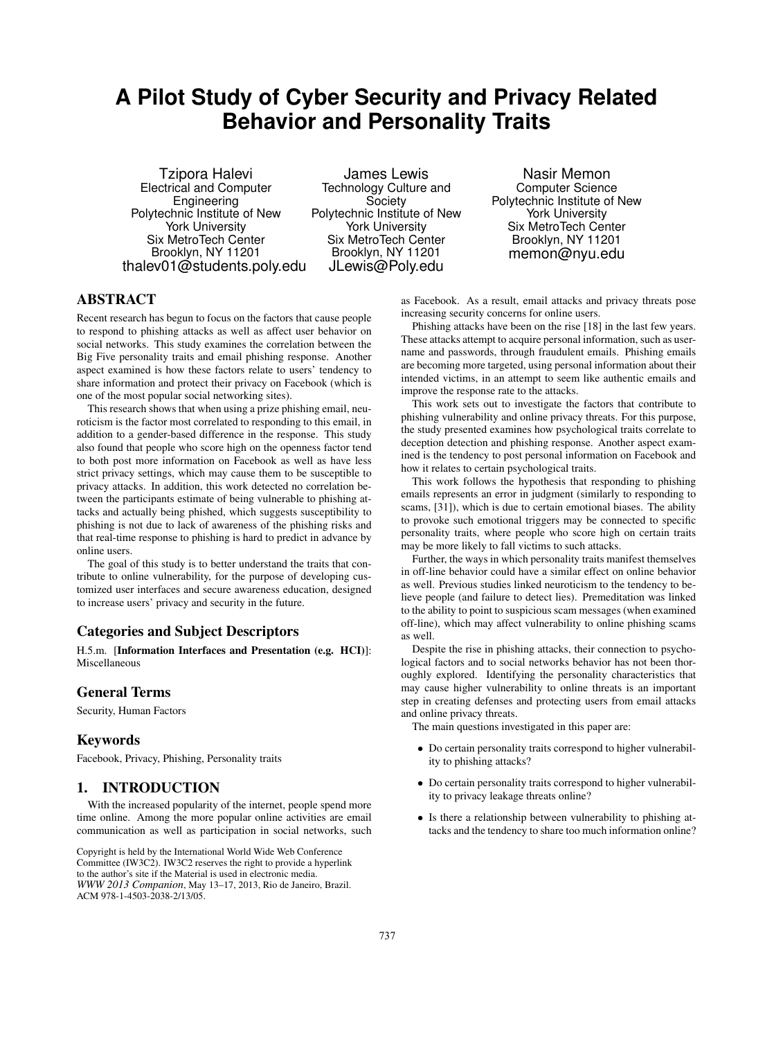# **A Pilot Study of Cyber Security and Privacy Related Behavior and Personality Traits**

Tzipora Halevi Electrical and Computer Engineering Polytechnic Institute of New York University Six MetroTech Center Brooklyn, NY 11201 thalev01@students.poly.edu

James Lewis Technology Culture and **Society** Polytechnic Institute of New York University Six MetroTech Center Brooklyn, NY 11201 JLewis@Poly.edu

Nasir Memon Computer Science Polytechnic Institute of New York University Six MetroTech Center Brooklyn, NY 11201 memon@nyu.edu

# ABSTRACT

Recent research has begun to focus on the factors that cause people to respond to phishing attacks as well as affect user behavior on social networks. This study examines the correlation between the Big Five personality traits and email phishing response. Another aspect examined is how these factors relate to users' tendency to share information and protect their privacy on Facebook (which is one of the most popular social networking sites).

This research shows that when using a prize phishing email, neuroticism is the factor most correlated to responding to this email, in addition to a gender-based difference in the response. This study also found that people who score high on the openness factor tend to both post more information on Facebook as well as have less strict privacy settings, which may cause them to be susceptible to privacy attacks. In addition, this work detected no correlation between the participants estimate of being vulnerable to phishing attacks and actually being phished, which suggests susceptibility to phishing is not due to lack of awareness of the phishing risks and that real-time response to phishing is hard to predict in advance by online users.

The goal of this study is to better understand the traits that contribute to online vulnerability, for the purpose of developing customized user interfaces and secure awareness education, designed to increase users' privacy and security in the future.

## Categories and Subject Descriptors

H.5.m. [Information Interfaces and Presentation (e.g. HCI)]: Miscellaneous

## General Terms

Security, Human Factors

## Keywords

Facebook, Privacy, Phishing, Personality traits

# 1. INTRODUCTION

With the increased popularity of the internet, people spend more time online. Among the more popular online activities are email communication as well as participation in social networks, such

Copyright is held by the International World Wide Web Conference Committee (IW3C2). IW3C2 reserves the right to provide a hyperlink to the author's site if the Material is used in electronic media. *WWW 2013 Companion*, May 13–17, 2013, Rio de Janeiro, Brazil. ACM 978-1-4503-2038-2/13/05.

as Facebook. As a result, email attacks and privacy threats pose increasing security concerns for online users.

Phishing attacks have been on the rise [18] in the last few years. These attacks attempt to acquire personal information, such as username and passwords, through fraudulent emails. Phishing emails are becoming more targeted, using personal information about their intended victims, in an attempt to seem like authentic emails and improve the response rate to the attacks.

This work sets out to investigate the factors that contribute to phishing vulnerability and online privacy threats. For this purpose, the study presented examines how psychological traits correlate to deception detection and phishing response. Another aspect examined is the tendency to post personal information on Facebook and how it relates to certain psychological traits.

This work follows the hypothesis that responding to phishing emails represents an error in judgment (similarly to responding to scams, [31]), which is due to certain emotional biases. The ability to provoke such emotional triggers may be connected to specific personality traits, where people who score high on certain traits may be more likely to fall victims to such attacks.

Further, the ways in which personality traits manifest themselves in off-line behavior could have a similar effect on online behavior as well. Previous studies linked neuroticism to the tendency to believe people (and failure to detect lies). Premeditation was linked to the ability to point to suspicious scam messages (when examined off-line), which may affect vulnerability to online phishing scams as well.

Despite the rise in phishing attacks, their connection to psychological factors and to social networks behavior has not been thoroughly explored. Identifying the personality characteristics that may cause higher vulnerability to online threats is an important step in creating defenses and protecting users from email attacks and online privacy threats.

The main questions investigated in this paper are:

- Do certain personality traits correspond to higher vulnerability to phishing attacks?
- Do certain personality traits correspond to higher vulnerability to privacy leakage threats online?
- Is there a relationship between vulnerability to phishing attacks and the tendency to share too much information online?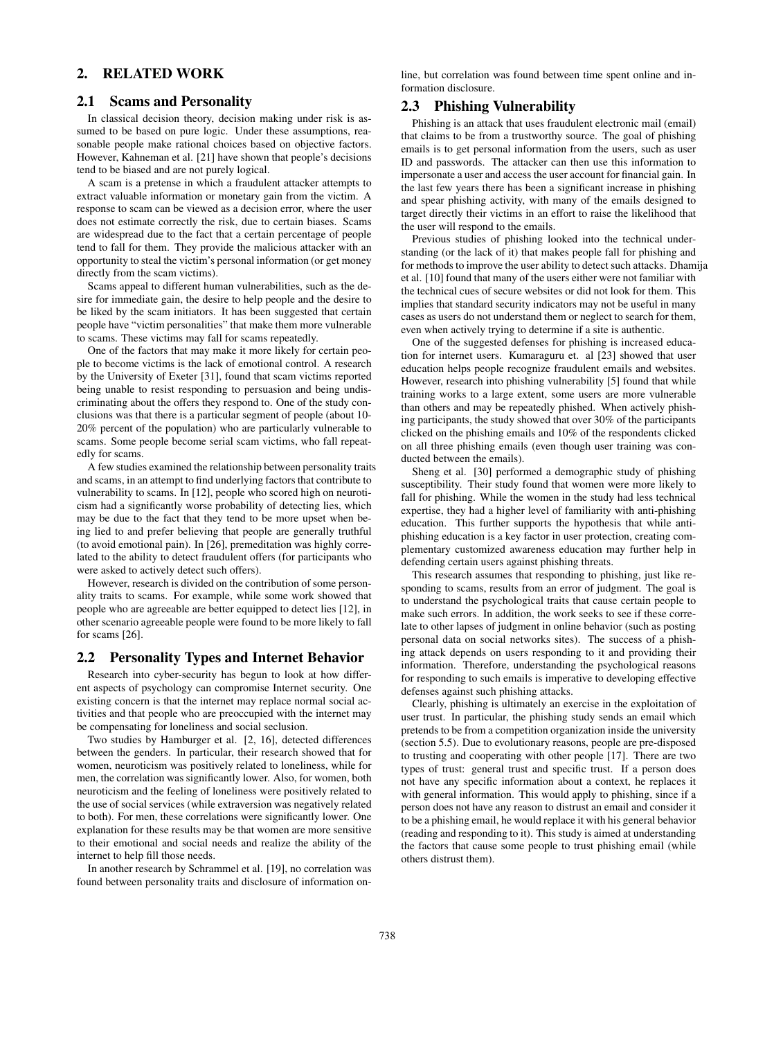## 2. RELATED WORK

#### 2.1 Scams and Personality

In classical decision theory, decision making under risk is assumed to be based on pure logic. Under these assumptions, reasonable people make rational choices based on objective factors. However, Kahneman et al. [21] have shown that people's decisions tend to be biased and are not purely logical.

A scam is a pretense in which a fraudulent attacker attempts to extract valuable information or monetary gain from the victim. A response to scam can be viewed as a decision error, where the user does not estimate correctly the risk, due to certain biases. Scams are widespread due to the fact that a certain percentage of people tend to fall for them. They provide the malicious attacker with an opportunity to steal the victim's personal information (or get money directly from the scam victims).

Scams appeal to different human vulnerabilities, such as the desire for immediate gain, the desire to help people and the desire to be liked by the scam initiators. It has been suggested that certain people have "victim personalities" that make them more vulnerable to scams. These victims may fall for scams repeatedly.

One of the factors that may make it more likely for certain people to become victims is the lack of emotional control. A research by the University of Exeter [31], found that scam victims reported being unable to resist responding to persuasion and being undiscriminating about the offers they respond to. One of the study conclusions was that there is a particular segment of people (about 10- 20% percent of the population) who are particularly vulnerable to scams. Some people become serial scam victims, who fall repeatedly for scams.

A few studies examined the relationship between personality traits and scams, in an attempt to find underlying factors that contribute to vulnerability to scams. In [12], people who scored high on neuroticism had a significantly worse probability of detecting lies, which may be due to the fact that they tend to be more upset when being lied to and prefer believing that people are generally truthful (to avoid emotional pain). In [26], premeditation was highly correlated to the ability to detect fraudulent offers (for participants who were asked to actively detect such offers).

However, research is divided on the contribution of some personality traits to scams. For example, while some work showed that people who are agreeable are better equipped to detect lies [12], in other scenario agreeable people were found to be more likely to fall for scams [26].

#### 2.2 Personality Types and Internet Behavior

Research into cyber-security has begun to look at how different aspects of psychology can compromise Internet security. One existing concern is that the internet may replace normal social activities and that people who are preoccupied with the internet may be compensating for loneliness and social seclusion.

Two studies by Hamburger et al. [2, 16], detected differences between the genders. In particular, their research showed that for women, neuroticism was positively related to loneliness, while for men, the correlation was significantly lower. Also, for women, both neuroticism and the feeling of loneliness were positively related to the use of social services (while extraversion was negatively related to both). For men, these correlations were significantly lower. One explanation for these results may be that women are more sensitive to their emotional and social needs and realize the ability of the internet to help fill those needs.

In another research by Schrammel et al. [19], no correlation was found between personality traits and disclosure of information online, but correlation was found between time spent online and information disclosure.

## 2.3 Phishing Vulnerability

Phishing is an attack that uses fraudulent electronic mail (email) that claims to be from a trustworthy source. The goal of phishing emails is to get personal information from the users, such as user ID and passwords. The attacker can then use this information to impersonate a user and access the user account for financial gain. In the last few years there has been a significant increase in phishing and spear phishing activity, with many of the emails designed to target directly their victims in an effort to raise the likelihood that the user will respond to the emails.

Previous studies of phishing looked into the technical understanding (or the lack of it) that makes people fall for phishing and for methods to improve the user ability to detect such attacks. Dhamija et al. [10] found that many of the users either were not familiar with the technical cues of secure websites or did not look for them. This implies that standard security indicators may not be useful in many cases as users do not understand them or neglect to search for them, even when actively trying to determine if a site is authentic.

One of the suggested defenses for phishing is increased education for internet users. Kumaraguru et. al [23] showed that user education helps people recognize fraudulent emails and websites. However, research into phishing vulnerability [5] found that while training works to a large extent, some users are more vulnerable than others and may be repeatedly phished. When actively phishing participants, the study showed that over 30% of the participants clicked on the phishing emails and 10% of the respondents clicked on all three phishing emails (even though user training was conducted between the emails).

Sheng et al. [30] performed a demographic study of phishing susceptibility. Their study found that women were more likely to fall for phishing. While the women in the study had less technical expertise, they had a higher level of familiarity with anti-phishing education. This further supports the hypothesis that while antiphishing education is a key factor in user protection, creating complementary customized awareness education may further help in defending certain users against phishing threats.

This research assumes that responding to phishing, just like responding to scams, results from an error of judgment. The goal is to understand the psychological traits that cause certain people to make such errors. In addition, the work seeks to see if these correlate to other lapses of judgment in online behavior (such as posting personal data on social networks sites). The success of a phishing attack depends on users responding to it and providing their information. Therefore, understanding the psychological reasons for responding to such emails is imperative to developing effective defenses against such phishing attacks.

Clearly, phishing is ultimately an exercise in the exploitation of user trust. In particular, the phishing study sends an email which pretends to be from a competition organization inside the university (section 5.5). Due to evolutionary reasons, people are pre-disposed to trusting and cooperating with other people [17]. There are two types of trust: general trust and specific trust. If a person does not have any specific information about a context, he replaces it with general information. This would apply to phishing, since if a person does not have any reason to distrust an email and consider it to be a phishing email, he would replace it with his general behavior (reading and responding to it). This study is aimed at understanding the factors that cause some people to trust phishing email (while others distrust them).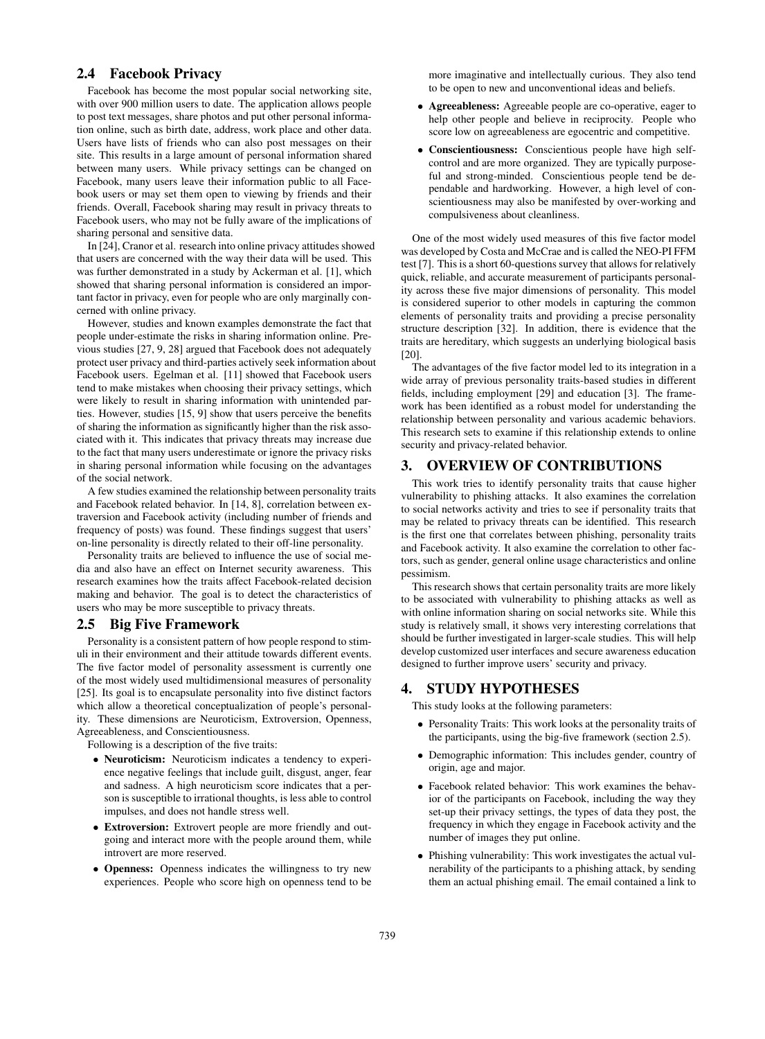#### 2.4 Facebook Privacy

Facebook has become the most popular social networking site, with over 900 million users to date. The application allows people to post text messages, share photos and put other personal information online, such as birth date, address, work place and other data. Users have lists of friends who can also post messages on their site. This results in a large amount of personal information shared between many users. While privacy settings can be changed on Facebook, many users leave their information public to all Facebook users or may set them open to viewing by friends and their friends. Overall, Facebook sharing may result in privacy threats to Facebook users, who may not be fully aware of the implications of sharing personal and sensitive data.

In [24], Cranor et al. research into online privacy attitudes showed that users are concerned with the way their data will be used. This was further demonstrated in a study by Ackerman et al. [1], which showed that sharing personal information is considered an important factor in privacy, even for people who are only marginally concerned with online privacy.

However, studies and known examples demonstrate the fact that people under-estimate the risks in sharing information online. Previous studies [27, 9, 28] argued that Facebook does not adequately protect user privacy and third-parties actively seek information about Facebook users. Egelman et al. [11] showed that Facebook users tend to make mistakes when choosing their privacy settings, which were likely to result in sharing information with unintended parties. However, studies [15, 9] show that users perceive the benefits of sharing the information as significantly higher than the risk associated with it. This indicates that privacy threats may increase due to the fact that many users underestimate or ignore the privacy risks in sharing personal information while focusing on the advantages of the social network.

A few studies examined the relationship between personality traits and Facebook related behavior. In [14, 8], correlation between extraversion and Facebook activity (including number of friends and frequency of posts) was found. These findings suggest that users' on-line personality is directly related to their off-line personality.

Personality traits are believed to influence the use of social media and also have an effect on Internet security awareness. This research examines how the traits affect Facebook-related decision making and behavior. The goal is to detect the characteristics of users who may be more susceptible to privacy threats.

#### 2.5 Big Five Framework

Personality is a consistent pattern of how people respond to stimuli in their environment and their attitude towards different events. The five factor model of personality assessment is currently one of the most widely used multidimensional measures of personality [25]. Its goal is to encapsulate personality into five distinct factors which allow a theoretical conceptualization of people's personality. These dimensions are Neuroticism, Extroversion, Openness, Agreeableness, and Conscientiousness.

Following is a description of the five traits:

- Neuroticism: Neuroticism indicates a tendency to experience negative feelings that include guilt, disgust, anger, fear and sadness. A high neuroticism score indicates that a person is susceptible to irrational thoughts, is less able to control impulses, and does not handle stress well.
- Extroversion: Extrovert people are more friendly and outgoing and interact more with the people around them, while introvert are more reserved.
- Openness: Openness indicates the willingness to try new experiences. People who score high on openness tend to be

more imaginative and intellectually curious. They also tend to be open to new and unconventional ideas and beliefs.

- Agreeableness: Agreeable people are co-operative, eager to help other people and believe in reciprocity. People who score low on agreeableness are egocentric and competitive.
- Conscientiousness: Conscientious people have high selfcontrol and are more organized. They are typically purposeful and strong-minded. Conscientious people tend be dependable and hardworking. However, a high level of conscientiousness may also be manifested by over-working and compulsiveness about cleanliness.

One of the most widely used measures of this five factor model was developed by Costa and McCrae and is called the NEO-PI FFM test [7]. This is a short 60-questions survey that allows for relatively quick, reliable, and accurate measurement of participants personality across these five major dimensions of personality. This model is considered superior to other models in capturing the common elements of personality traits and providing a precise personality structure description [32]. In addition, there is evidence that the traits are hereditary, which suggests an underlying biological basis [20].

The advantages of the five factor model led to its integration in a wide array of previous personality traits-based studies in different fields, including employment [29] and education [3]. The framework has been identified as a robust model for understanding the relationship between personality and various academic behaviors. This research sets to examine if this relationship extends to online security and privacy-related behavior.

#### 3. OVERVIEW OF CONTRIBUTIONS

This work tries to identify personality traits that cause higher vulnerability to phishing attacks. It also examines the correlation to social networks activity and tries to see if personality traits that may be related to privacy threats can be identified. This research is the first one that correlates between phishing, personality traits and Facebook activity. It also examine the correlation to other factors, such as gender, general online usage characteristics and online pessimism.

This research shows that certain personality traits are more likely to be associated with vulnerability to phishing attacks as well as with online information sharing on social networks site. While this study is relatively small, it shows very interesting correlations that should be further investigated in larger-scale studies. This will help develop customized user interfaces and secure awareness education designed to further improve users' security and privacy.

#### 4. STUDY HYPOTHESES

This study looks at the following parameters:

- Personality Traits: This work looks at the personality traits of the participants, using the big-five framework (section 2.5).
- Demographic information: This includes gender, country of origin, age and major.
- Facebook related behavior: This work examines the behavior of the participants on Facebook, including the way they set-up their privacy settings, the types of data they post, the frequency in which they engage in Facebook activity and the number of images they put online.
- Phishing vulnerability: This work investigates the actual vulnerability of the participants to a phishing attack, by sending them an actual phishing email. The email contained a link to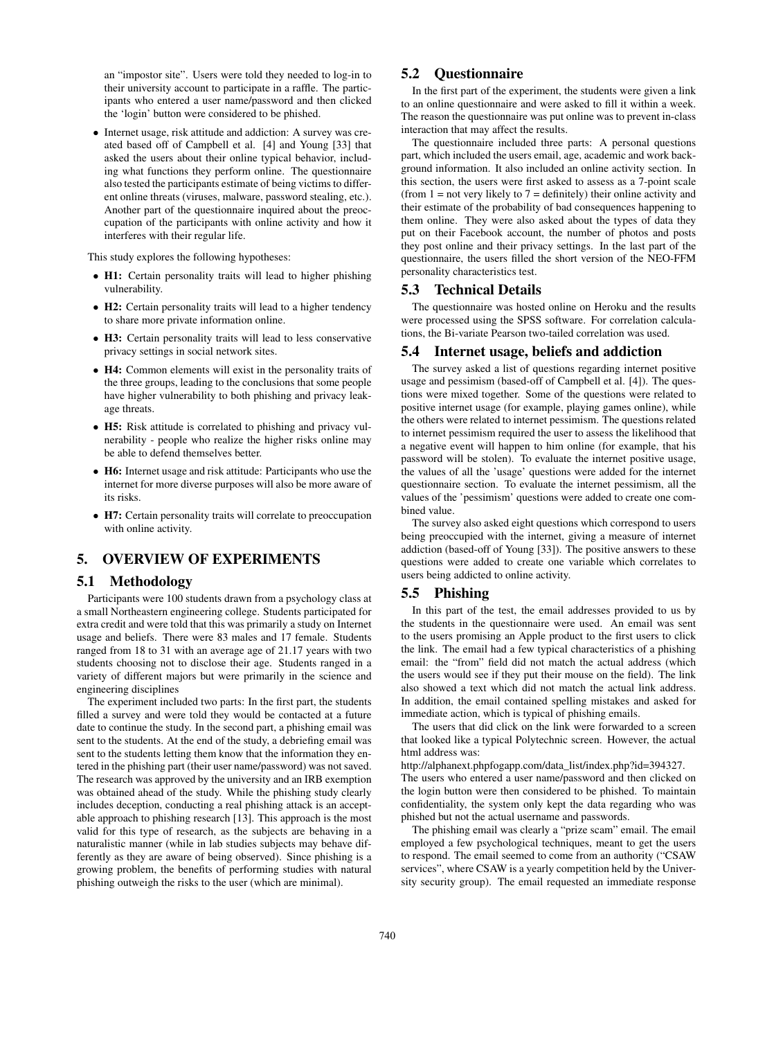an "impostor site". Users were told they needed to log-in to their university account to participate in a raffle. The participants who entered a user name/password and then clicked the 'login' button were considered to be phished.

• Internet usage, risk attitude and addiction: A survey was created based off of Campbell et al. [4] and Young [33] that asked the users about their online typical behavior, including what functions they perform online. The questionnaire also tested the participants estimate of being victims to different online threats (viruses, malware, password stealing, etc.). Another part of the questionnaire inquired about the preoccupation of the participants with online activity and how it interferes with their regular life.

This study explores the following hypotheses:

- H1: Certain personality traits will lead to higher phishing vulnerability.
- H2: Certain personality traits will lead to a higher tendency to share more private information online.
- H3: Certain personality traits will lead to less conservative privacy settings in social network sites.
- H4: Common elements will exist in the personality traits of the three groups, leading to the conclusions that some people have higher vulnerability to both phishing and privacy leakage threats.
- H5: Risk attitude is correlated to phishing and privacy vulnerability - people who realize the higher risks online may be able to defend themselves better.
- H6: Internet usage and risk attitude: Participants who use the internet for more diverse purposes will also be more aware of its risks.
- H7: Certain personality traits will correlate to preoccupation with online activity.

# 5. OVERVIEW OF EXPERIMENTS

## 5.1 Methodology

Participants were 100 students drawn from a psychology class at a small Northeastern engineering college. Students participated for extra credit and were told that this was primarily a study on Internet usage and beliefs. There were 83 males and 17 female. Students ranged from 18 to 31 with an average age of 21.17 years with two students choosing not to disclose their age. Students ranged in a variety of different majors but were primarily in the science and engineering disciplines

The experiment included two parts: In the first part, the students filled a survey and were told they would be contacted at a future date to continue the study. In the second part, a phishing email was sent to the students. At the end of the study, a debriefing email was sent to the students letting them know that the information they entered in the phishing part (their user name/password) was not saved. The research was approved by the university and an IRB exemption was obtained ahead of the study. While the phishing study clearly includes deception, conducting a real phishing attack is an acceptable approach to phishing research [13]. This approach is the most valid for this type of research, as the subjects are behaving in a naturalistic manner (while in lab studies subjects may behave differently as they are aware of being observed). Since phishing is a growing problem, the benefits of performing studies with natural phishing outweigh the risks to the user (which are minimal).

## 5.2 Questionnaire

In the first part of the experiment, the students were given a link to an online questionnaire and were asked to fill it within a week. The reason the questionnaire was put online was to prevent in-class interaction that may affect the results.

The questionnaire included three parts: A personal questions part, which included the users email, age, academic and work background information. It also included an online activity section. In this section, the users were first asked to assess as a 7-point scale (from  $1 = not$  very likely to  $7 =$  definitely) their online activity and their estimate of the probability of bad consequences happening to them online. They were also asked about the types of data they put on their Facebook account, the number of photos and posts they post online and their privacy settings. In the last part of the questionnaire, the users filled the short version of the NEO-FFM personality characteristics test.

#### 5.3 Technical Details

The questionnaire was hosted online on Heroku and the results were processed using the SPSS software. For correlation calculations, the Bi-variate Pearson two-tailed correlation was used.

#### 5.4 Internet usage, beliefs and addiction

The survey asked a list of questions regarding internet positive usage and pessimism (based-off of Campbell et al. [4]). The questions were mixed together. Some of the questions were related to positive internet usage (for example, playing games online), while the others were related to internet pessimism. The questions related to internet pessimism required the user to assess the likelihood that a negative event will happen to him online (for example, that his password will be stolen). To evaluate the internet positive usage, the values of all the 'usage' questions were added for the internet questionnaire section. To evaluate the internet pessimism, all the values of the 'pessimism' questions were added to create one combined value.

The survey also asked eight questions which correspond to users being preoccupied with the internet, giving a measure of internet addiction (based-off of Young [33]). The positive answers to these questions were added to create one variable which correlates to users being addicted to online activity.

## 5.5 Phishing

In this part of the test, the email addresses provided to us by the students in the questionnaire were used. An email was sent to the users promising an Apple product to the first users to click the link. The email had a few typical characteristics of a phishing email: the "from" field did not match the actual address (which the users would see if they put their mouse on the field). The link also showed a text which did not match the actual link address. In addition, the email contained spelling mistakes and asked for immediate action, which is typical of phishing emails.

The users that did click on the link were forwarded to a screen that looked like a typical Polytechnic screen. However, the actual html address was:

http://alphanext.phpfogapp.com/data\_list/index.php?id=394327.

The users who entered a user name/password and then clicked on the login button were then considered to be phished. To maintain confidentiality, the system only kept the data regarding who was phished but not the actual username and passwords.

The phishing email was clearly a "prize scam" email. The email employed a few psychological techniques, meant to get the users to respond. The email seemed to come from an authority ("CSAW services", where CSAW is a yearly competition held by the University security group). The email requested an immediate response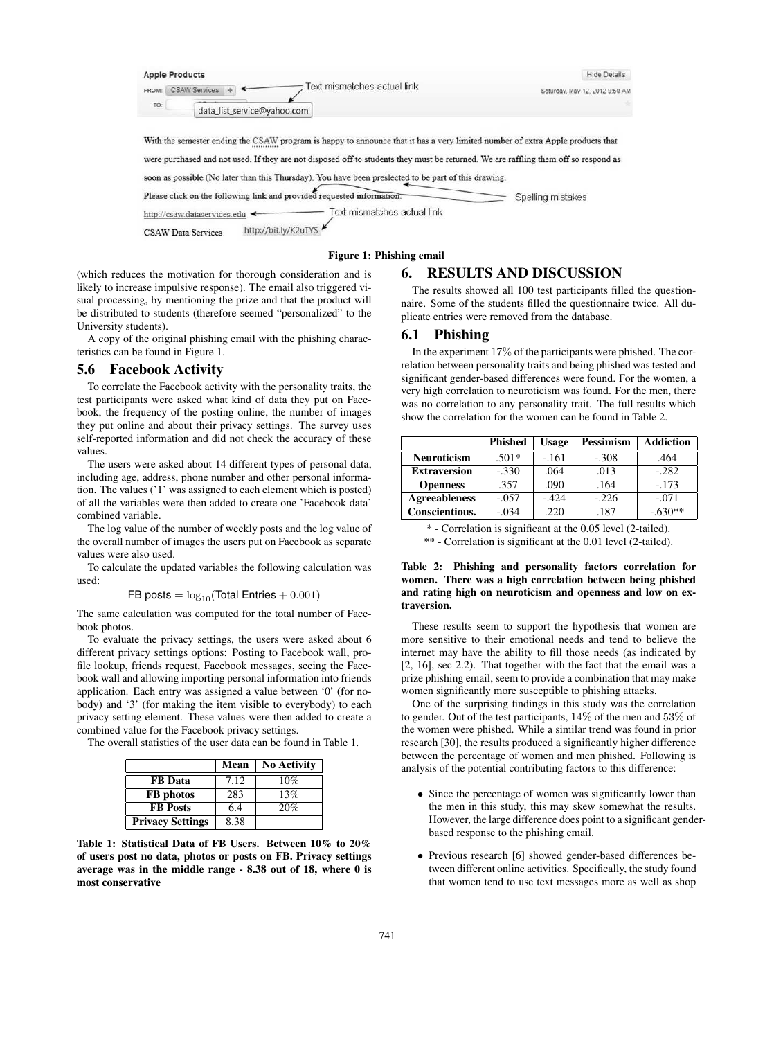



(which reduces the motivation for thorough consideration and is likely to increase impulsive response). The email also triggered visual processing, by mentioning the prize and that the product will be distributed to students (therefore seemed "personalized" to the University students).

A copy of the original phishing email with the phishing characteristics can be found in Figure 1.

## 5.6 Facebook Activity

To correlate the Facebook activity with the personality traits, the test participants were asked what kind of data they put on Facebook, the frequency of the posting online, the number of images they put online and about their privacy settings. The survey uses self-reported information and did not check the accuracy of these values.

The users were asked about 14 different types of personal data, including age, address, phone number and other personal information. The values ('1' was assigned to each element which is posted) of all the variables were then added to create one 'Facebook data' combined variable.

The log value of the number of weekly posts and the log value of the overall number of images the users put on Facebook as separate values were also used.

To calculate the updated variables the following calculation was used:

FB posts =  $log_{10}$ (Total Entries + 0.001)

The same calculation was computed for the total number of Facebook photos.

To evaluate the privacy settings, the users were asked about 6 different privacy settings options: Posting to Facebook wall, profile lookup, friends request, Facebook messages, seeing the Facebook wall and allowing importing personal information into friends application. Each entry was assigned a value between '0' (for nobody) and '3' (for making the item visible to everybody) to each privacy setting element. These values were then added to create a combined value for the Facebook privacy settings.

The overall statistics of the user data can be found in Table 1.

|                         | Mean | <b>No Activity</b> |
|-------------------------|------|--------------------|
| <b>FB</b> Data          | 7.12 | 10%                |
| FB photos               | 283  | 13%                |
| <b>FB</b> Posts         | 6.4  | 20%                |
| <b>Privacy Settings</b> | 8.38 |                    |

Table 1: Statistical Data of FB Users. Between 10% to 20% of users post no data, photos or posts on FB. Privacy settings average was in the middle range - 8.38 out of 18, where 0 is most conservative

# 6. RESULTS AND DISCUSSION

The results showed all 100 test participants filled the questionnaire. Some of the students filled the questionnaire twice. All duplicate entries were removed from the database.

## 6.1 Phishing

In the experiment 17% of the participants were phished. The correlation between personality traits and being phished was tested and significant gender-based differences were found. For the women, a very high correlation to neuroticism was found. For the men, there was no correlation to any personality trait. The full results which show the correlation for the women can be found in Table 2.

|                      | <b>Phished</b> | <b>Usage</b> | <b>Pessimism</b> | <b>Addiction</b> |
|----------------------|----------------|--------------|------------------|------------------|
| <b>Neuroticism</b>   | $.501*$        | $-161$       | $-.308$          | .464             |
| <b>Extraversion</b>  | $-.330$        | .064         | .013             | $-.282$          |
| <b>Openness</b>      | .357           | .090         | .164             | $-173$           |
| <b>Agreeableness</b> | $-.057$        | $-.424$      | $-.226$          | $-.071$          |
| Conscientious.       | $-.034$        | .220         | .187             | $-.630**$        |

\* - Correlation is significant at the 0.05 level (2-tailed).

\*\* - Correlation is significant at the 0.01 level (2-tailed).

#### Table 2: Phishing and personality factors correlation for women. There was a high correlation between being phished and rating high on neuroticism and openness and low on extraversion.

These results seem to support the hypothesis that women are more sensitive to their emotional needs and tend to believe the internet may have the ability to fill those needs (as indicated by [2, 16], sec 2.2). That together with the fact that the email was a prize phishing email, seem to provide a combination that may make women significantly more susceptible to phishing attacks.

One of the surprising findings in this study was the correlation to gender. Out of the test participants, 14% of the men and 53% of the women were phished. While a similar trend was found in prior research [30], the results produced a significantly higher difference between the percentage of women and men phished. Following is analysis of the potential contributing factors to this difference:

- Since the percentage of women was significantly lower than the men in this study, this may skew somewhat the results. However, the large difference does point to a significant genderbased response to the phishing email.
- Previous research [6] showed gender-based differences between different online activities. Specifically, the study found that women tend to use text messages more as well as shop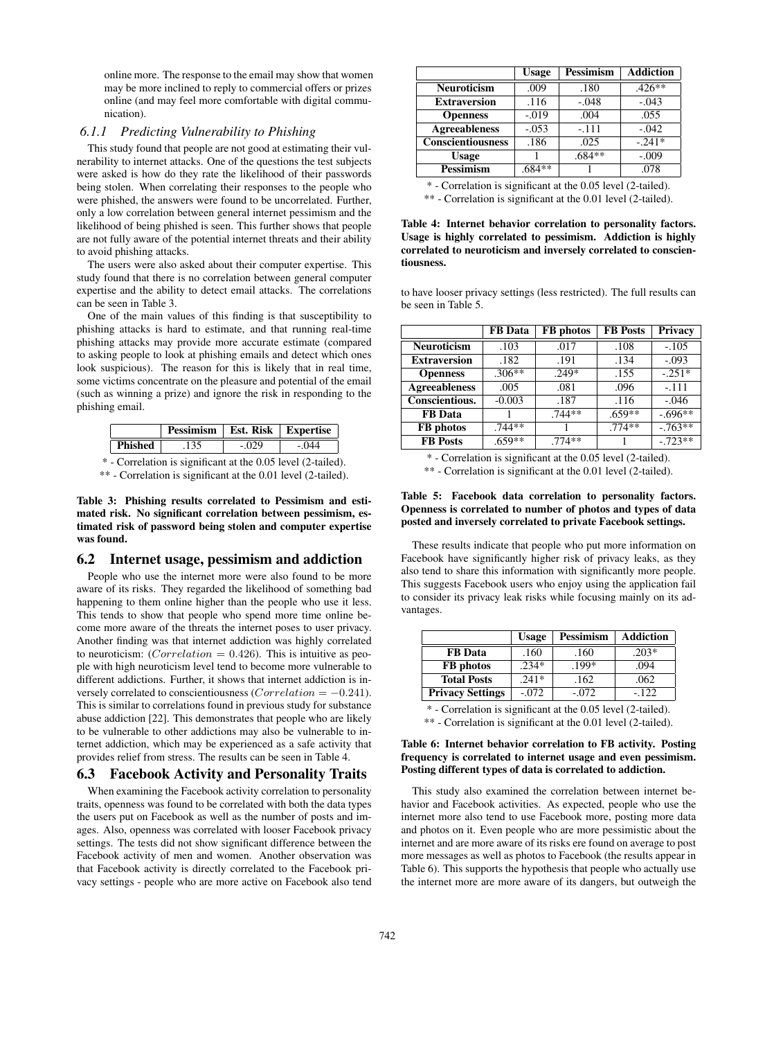online more. The response to the email may show that women may be more inclined to reply to commercial offers or prizes online (and may feel more comfortable with digital communication).

#### *6.1.1 Predicting Vulnerability to Phishing*

This study found that people are not good at estimating their vulnerability to internet attacks. One of the questions the test subjects were asked is how do they rate the likelihood of their passwords being stolen. When correlating their responses to the people who were phished, the answers were found to be uncorrelated. Further, only a low correlation between general internet pessimism and the likelihood of being phished is seen. This further shows that people are not fully aware of the potential internet threats and their ability to avoid phishing attacks.

The users were also asked about their computer expertise. This study found that there is no correlation between general computer expertise and the ability to detect email attacks. The correlations can be seen in Table 3.

One of the main values of this finding is that susceptibility to phishing attacks is hard to estimate, and that running real-time phishing attacks may provide more accurate estimate (compared to asking people to look at phishing emails and detect which ones look suspicious). The reason for this is likely that in real time, some victims concentrate on the pleasure and potential of the email (such as winning a prize) and ignore the risk in responding to the phishing email.

|                | Pessimism |        | <b>Est. Risk</b> Expertise |
|----------------|-----------|--------|----------------------------|
| <b>Phished</b> | 135       | $-029$ |                            |
|                |           |        |                            |

\* - Correlation is significant at the 0.05 level (2-tailed).

\*\* - Correlation is significant at the 0.01 level (2-tailed).

Table 3: Phishing results correlated to Pessimism and estimated risk. No significant correlation between pessimism, estimated risk of password being stolen and computer expertise was found.

#### 6.2 Internet usage, pessimism and addiction

People who use the internet more were also found to be more aware of its risks. They regarded the likelihood of something bad happening to them online higher than the people who use it less. This tends to show that people who spend more time online become more aware of the threats the internet poses to user privacy. Another finding was that internet addiction was highly correlated to neuroticism:  $(Correlation = 0.426)$ . This is intuitive as people with high neuroticism level tend to become more vulnerable to different addictions. Further, it shows that internet addiction is inversely correlated to conscientiousness ( $Correlation = -0.241$ ). This is similar to correlations found in previous study for substance abuse addiction [22]. This demonstrates that people who are likely to be vulnerable to other addictions may also be vulnerable to internet addiction, which may be experienced as a safe activity that provides relief from stress. The results can be seen in Table 4.

## 6.3 Facebook Activity and Personality Traits

When examining the Facebook activity correlation to personality traits, openness was found to be correlated with both the data types the users put on Facebook as well as the number of posts and images. Also, openness was correlated with looser Facebook privacy settings. The tests did not show significant difference between the Facebook activity of men and women. Another observation was that Facebook activity is directly correlated to the Facebook privacy settings - people who are more active on Facebook also tend

|                          | <b>Usage</b> | <b>Pessimism</b> | <b>Addiction</b> |
|--------------------------|--------------|------------------|------------------|
| <b>Neuroticism</b>       | .009         | .180             | $.426**$         |
| <b>Extraversion</b>      | .116         | $-.048$          | $-.043$          |
| <b>Openness</b>          | $-.019$      | .004             | .055             |
| <b>Agreeableness</b>     | $-.053$      | $-.111$          | $-.042$          |
| <b>Conscientiousness</b> | .186         | .025             | $-.241*$         |
| Usage                    |              | $.684**$         | $-.009$          |
| <b>Pessimism</b>         | $.684**$     |                  | .078             |

\* - Correlation is significant at the 0.05 level (2-tailed).

\*\* - Correlation is significant at the 0.01 level (2-tailed).

#### Table 4: Internet behavior correlation to personality factors. Usage is highly correlated to pessimism. Addiction is highly correlated to neuroticism and inversely correlated to conscientiousness.

to have looser privacy settings (less restricted). The full results can be seen in Table 5.

|                      | <b>FB</b> Data | FB photos | <b>FB</b> Posts | Privacy   |
|----------------------|----------------|-----------|-----------------|-----------|
| <b>Neuroticism</b>   | .103           | .017      | .108            | $-.105$   |
| <b>Extraversion</b>  | .182           | .191      | .134            | $-.093$   |
| <b>Openness</b>      | $.306**$       | $.249*$   | .155            | $-.251*$  |
| <b>Agreeableness</b> | .005           | .081      | .096            | $-111$    |
| Conscientious.       | $-0.003$       | .187      | .116            | $-.046$   |
| <b>FB</b> Data       |                | $.744**$  | $.659**$        | $-.696**$ |
| FB photos            | $.744**$       |           | $.774**$        | $-.763**$ |
| <b>FB</b> Posts      | $.659**$       | $.774**$  |                 | $-.723**$ |

\* - Correlation is significant at the 0.05 level (2-tailed).

\*\* - Correlation is significant at the 0.01 level (2-tailed).

#### Table 5: Facebook data correlation to personality factors. Openness is correlated to number of photos and types of data posted and inversely correlated to private Facebook settings.

These results indicate that people who put more information on Facebook have significantly higher risk of privacy leaks, as they also tend to share this information with significantly more people. This suggests Facebook users who enjoy using the application fail to consider its privacy leak risks while focusing mainly on its advantages.

|                         | <b>Usage</b> | Pessimism | <b>Addiction</b> |
|-------------------------|--------------|-----------|------------------|
| <b>FB</b> Data          | .160         | .160      | $.203*$          |
| FB photos               | $.234*$      | .199*     | .094             |
| <b>Total Posts</b>      | $.241*$      | .162      | .062             |
| <b>Privacy Settings</b> | $-.072$      | $-.072$   | $-122$           |

\* - Correlation is significant at the 0.05 level (2-tailed).

\*\* - Correlation is significant at the 0.01 level (2-tailed).

#### Table 6: Internet behavior correlation to FB activity. Posting frequency is correlated to internet usage and even pessimism. Posting different types of data is correlated to addiction.

This study also examined the correlation between internet behavior and Facebook activities. As expected, people who use the internet more also tend to use Facebook more, posting more data and photos on it. Even people who are more pessimistic about the internet and are more aware of its risks ere found on average to post more messages as well as photos to Facebook (the results appear in Table 6). This supports the hypothesis that people who actually use the internet more are more aware of its dangers, but outweigh the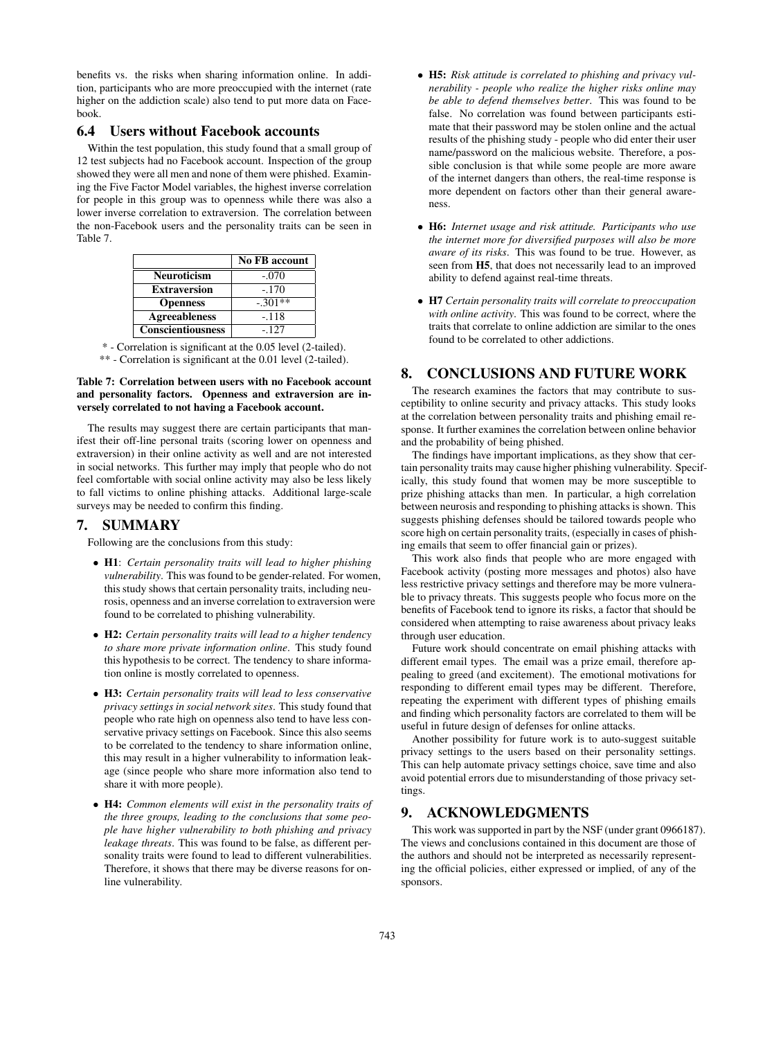benefits vs. the risks when sharing information online. In addition, participants who are more preoccupied with the internet (rate higher on the addiction scale) also tend to put more data on Facebook.

#### 6.4 Users without Facebook accounts

Within the test population, this study found that a small group of 12 test subjects had no Facebook account. Inspection of the group showed they were all men and none of them were phished. Examining the Five Factor Model variables, the highest inverse correlation for people in this group was to openness while there was also a lower inverse correlation to extraversion. The correlation between the non-Facebook users and the personality traits can be seen in Table 7.

|                      | <b>No FB account</b> |
|----------------------|----------------------|
| Neuroticism          | $-.070$              |
| <b>Extraversion</b>  | $-.170$              |
| <b>Openness</b>      | $-.301**$            |
| <b>Agreeableness</b> | $-118$               |
| Conscientiousness    | $-127$               |

\* - Correlation is significant at the 0.05 level (2-tailed).

\*\* - Correlation is significant at the 0.01 level (2-tailed).

#### Table 7: Correlation between users with no Facebook account and personality factors. Openness and extraversion are inversely correlated to not having a Facebook account.

The results may suggest there are certain participants that manifest their off-line personal traits (scoring lower on openness and extraversion) in their online activity as well and are not interested in social networks. This further may imply that people who do not feel comfortable with social online activity may also be less likely to fall victims to online phishing attacks. Additional large-scale surveys may be needed to confirm this finding.

## 7. SUMMARY

Following are the conclusions from this study:

- H1: *Certain personality traits will lead to higher phishing vulnerability*. This was found to be gender-related. For women, this study shows that certain personality traits, including neurosis, openness and an inverse correlation to extraversion were found to be correlated to phishing vulnerability.
- H2: *Certain personality traits will lead to a higher tendency to share more private information online*. This study found this hypothesis to be correct. The tendency to share information online is mostly correlated to openness.
- H3: *Certain personality traits will lead to less conservative privacy settings in social network sites*. This study found that people who rate high on openness also tend to have less conservative privacy settings on Facebook. Since this also seems to be correlated to the tendency to share information online, this may result in a higher vulnerability to information leakage (since people who share more information also tend to share it with more people).
- H4: *Common elements will exist in the personality traits of the three groups, leading to the conclusions that some people have higher vulnerability to both phishing and privacy leakage threats*. This was found to be false, as different personality traits were found to lead to different vulnerabilities. Therefore, it shows that there may be diverse reasons for online vulnerability.
- H5: *Risk attitude is correlated to phishing and privacy vulnerability - people who realize the higher risks online may be able to defend themselves better*. This was found to be false. No correlation was found between participants estimate that their password may be stolen online and the actual results of the phishing study - people who did enter their user name/password on the malicious website. Therefore, a possible conclusion is that while some people are more aware of the internet dangers than others, the real-time response is more dependent on factors other than their general awareness.
- H6: *Internet usage and risk attitude. Participants who use the internet more for diversified purposes will also be more aware of its risks*. This was found to be true. However, as seen from H5, that does not necessarily lead to an improved ability to defend against real-time threats.
- H7 *Certain personality traits will correlate to preoccupation with online activity*. This was found to be correct, where the traits that correlate to online addiction are similar to the ones found to be correlated to other addictions.

## 8. CONCLUSIONS AND FUTURE WORK

The research examines the factors that may contribute to susceptibility to online security and privacy attacks. This study looks at the correlation between personality traits and phishing email response. It further examines the correlation between online behavior and the probability of being phished.

The findings have important implications, as they show that certain personality traits may cause higher phishing vulnerability. Specifically, this study found that women may be more susceptible to prize phishing attacks than men. In particular, a high correlation between neurosis and responding to phishing attacks is shown. This suggests phishing defenses should be tailored towards people who score high on certain personality traits, (especially in cases of phishing emails that seem to offer financial gain or prizes).

This work also finds that people who are more engaged with Facebook activity (posting more messages and photos) also have less restrictive privacy settings and therefore may be more vulnerable to privacy threats. This suggests people who focus more on the benefits of Facebook tend to ignore its risks, a factor that should be considered when attempting to raise awareness about privacy leaks through user education.

Future work should concentrate on email phishing attacks with different email types. The email was a prize email, therefore appealing to greed (and excitement). The emotional motivations for responding to different email types may be different. Therefore, repeating the experiment with different types of phishing emails and finding which personality factors are correlated to them will be useful in future design of defenses for online attacks.

Another possibility for future work is to auto-suggest suitable privacy settings to the users based on their personality settings. This can help automate privacy settings choice, save time and also avoid potential errors due to misunderstanding of those privacy settings.

# 9. ACKNOWLEDGMENTS

This work was supported in part by the NSF (under grant 0966187). The views and conclusions contained in this document are those of the authors and should not be interpreted as necessarily representing the official policies, either expressed or implied, of any of the sponsors.